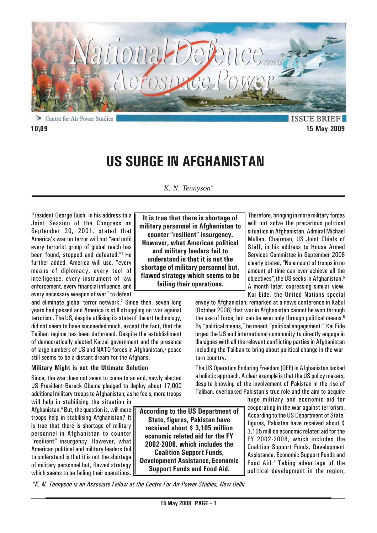

Centre for Air Power Studies

**ISSUE BRIEF 10\09 15 May 2009**

# **US SURGE IN AFGHANISTAN**

# *K. N. Tennyson\**

**It is true that there is shortage of**

President George Bush, in his address to a Joint Session of the Congress on September 20, 2001, stated that America's war on terror will not "end until every terrorist group of global reach has been found, stopped and defeated."1 He further added, America will use, "every means of diplomacy, every tool of intelligence, every instrument of law enforcement, every financial influence, and every necessary weapon of war" to defeat

and eliminate global terror network.<sup>2</sup> Since then, seven long years had passed and America is still struggling on war against terrorism. The US, despite utilising its state of the art technology, did not seem to have succeeded much, except the fact, that the Taliban regime has been dethroned. Despite the establishment of democratically elected Karzai government and the presence of large numbers of US and NATO forces in Afghanistan,<sup>3</sup> peace still seems to be a distant dream for the Afghans.

## **Military Might is not the Ultimate Solution**

Since, the war does not seem to come to an end, newly elected US President Barack Obama pledged to deploy about 17,000 additional military troops to Afghanistan; as he feels, more troops

will help in stabilising the situation in Afghanistan.4 But, the question is, will more troops help in stabilising Afghanistan? It is true that there is shortage of military personnel in Afghanistan to counter "resilient" insurgency. However, what American political and military leaders fail to understand is that it is not the shortage of military personnel but, flawed strategy which seems to be failing their operations.

**military personnel in Afghanistan to counter "resilient" insurgency. However, what American political and military leaders fail to understand is that it is not the shortage of military personnel but, flawed strategy which seems to be failing their operations.**

Therefore, bringing in more military forces will not solve the precarious political situation in Afghanistan. Admiral Michael Mullen, Chairman, US Joint Chiefs of Staff, in his address to House Armed Services Committee in September 2008 clearly stated, "No amount of troops in no amount of time can ever achieve all the objectives",the US seeks in Afghanistan.5 A month later, expressing similar view, Kai Eide, the United Nations special

envoy to Afghanistan, remarked at a news conference in Kabul (October 2008) that war in Afghanistan cannot be won through the use of force, but can be won only through political means.<sup>6</sup> By "political means," he meant "political engagement." Kai Eide urged the US and international community to directly engage in dialogues with all the relevant conflicting parties in Afghanistan including the Taliban to bring about political change in the wartorn country.

The US Operation Enduring Freedom (OEF) in Afghanistan lacked a holistic approach. A clear example is that the US policy makers, despite knowing of the involvement of Pakistan in the rise of Taliban, overlooked Pakistan's true role and the aim to acquire

> huge military and economic aid for cooperating in the war against terrorism. According to the US Department of State, figures, Pakistan have received about \$ 3,105 million economic related aid for the FY 2002-2008, which includes the Coalition Support Funds, Development Assistance, Economic Support Funds and Food Aid.7 Taking advantage of the political development in the region,

*\*K. N. Tennyson is an Associate Fellow at the Centre For Air Power Studies, New Delhi*

**According to the US Department of State, figures, Pakistan have received about \$ 3,105 million economic related aid for the FY 2002-2008, which includes the Coalition Support Funds, Development Assistance, Economic Support Funds and Food Aid.**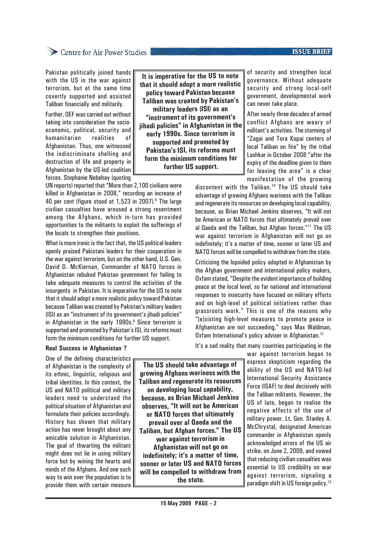## **ISSUE BRIEF**

# Centre for Air Power Studies

Pakistan politically joined hands with the US in the war against terrorism, but at the same time covertly supported and assisted Taliban financially and militarily.

Further, OEF was carried out without taking into consideration the socioeconomic, political, security and humanitarian realities of Afghanistan. Thus, one witnessed the indiscriminate shelling and destruction of life and property in Afghanistan by the US-led coalition forces. Stephanie Nebehay (quoting

UN reports) reported that "More than 2,100 civilians were killed in Afghanistan in 2008," recording an increase of 40 per cent (figure stood at 1,523 in 2007).<sup>8</sup> The large civilian casualties have aroused a strong resentment among the Afghans, which in-turn has provided opportunities to the militants to exploit the sufferings of the locals to strengthen their positions.

What is more ironic is the fact that, the US political leaders openly praised Pakistani leaders for their cooperation in the war against terrorism, but on the other hand, U.S. Gen, David D. McKiernan, Commander of NATO forces in Afghanistan rebuked Pakistan government for failing to take adequate measures to control the activities of the insurgents in Pakistan. It is imperative for the US to note that it should adopt a more realistic policy toward Pakistan because Taliban was created by Pakistan's military leaders (ISI) as an "instrument of its government's jihadi policies" in Afghanistan in the early 1990s.<sup>9</sup> Since terrorism is supported and promoted by Pakistan's ISI, its reforms must form the minimum conditions for further US support.

**It is imperative for the US to note that it should adopt a more realistic policy toward Pakistan because Taliban was created by Pakistan's military leaders (ISI) as an "instrument of its government's jihadi policies" in Afghanistan in the early 1990s. Since terrorism is supported and promoted by Pakistan's ISI, its reforms must form the minimum conditions for**

**further US support.**

of security and strengthen local governance. Without adequate security and strong local-self government, developmental work can never take place.

After nearly three decades of armed conflict Afghans are weary of militant's activities. The storming of "Zagai and Tora Kopai centers of local Taliban on fire" by the tribal Lashkar in October 2008 "after the expiry of the deadline given to them for leaving the area" is a clear manifestation of the growing

discontent with the Taliban.10 The US should take advantage of growing Afghans wariness with the Taliban and regenerate its resources on developing local capability, because, as Brian Michael Jenkins observes, "It will not be American or NATO forces that ultimately prevail over al Qaeda and the Taliban, but Afghan forces."11 The US war against terrorism in Afghanistan will not go on indefinitely; it's a matter of time, sooner or later US and NATO forces will be compelled to withdraw from the state.

Criticising the lopsided policy adopted in Afghanistan by the Afghan government and international policy makers, Oxfam stated, "Despite the evident importance of building peace at the local level, so far national and international responses to insecurity have focused on military efforts and on high-level of political initiatives rather than grassroots work." This is one of the reasons why "[e]xisting high-level measures to promote peace in Afghanistan are not succeeding," says Max Waldman, Oxfam International's policy adviser in Afghanistan.<sup>12</sup>

It's a sad reality that many countries participating in the

**Real Success in Afghanistan ?**

One of the defining characteristics of Afghanistan is the complexity of its ethnic, linguistic, religious and tribal identities. In this context, the US and NATO political and military leaders need to understand the political situation of Afghanistan and formulate their policies accordingly. History has shown that military action has never brought about any amicable solution in Afghanistan. The goal of thwarting the militant might does not lie in using military force but by wining the hearts and minds of the Afghans. And one such way to win over the population is to provide them with certain measure

**The US should take advantage of growing Afghans wariness with the Taliban and regenerate its resources on developing local capability, because, as Brian Michael Jenkins observes, "It will not be American or NATO forces that ultimately prevail over al Qaeda and the Taliban, but Afghan forces." The US war against terrorism in Afghanistan will not go on indefinitely; it's a matter of time, sooner or later US and NATO forces will be compelled to withdraw from the state.**

war against terrorism began to express skepticism regarding the ability of the US and NATO-led International Security Assistance Force (ISAF) to deal decisively with the Taliban militants. However, the US of late, began to realise the negative effects of the use of military power. Lt. Gen. Stanley A. McChrystal, designated American commander in Afghanistan openly acknowledged errors of the US air strike, on June 2, 2009, and vowed that reducing civilian casualties was essential to US credibility on war against terrorism, signaling a paradigm shift in US foreign policy.<sup>13</sup>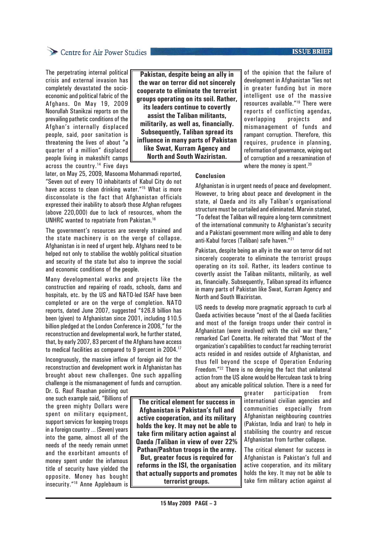## **ISSUE BRIEF**

# Centre for Air Power Studies

The perpetrating internal political crisis and external invasion has completely devastated the socioeconomic and political fabric of the Afghans. On May 19, 2009 Noorullah Stanikzai reports on the prevailing pathetic conditions of the Afghan's internally displaced people, said, poor sanitation is threatening the lives of about "a quarter of a million" displaced people living in makeshift camps across the country.14 Five days

**Pakistan, despite being an ally in the war on terror did not sincerely cooperate to eliminate the terrorist groups operating on its soil. Rather, its leaders continue to covertly assist the Taliban militants, militarily, as well as, financially. Subsequently, Taliban spread its influence in many parts of Pakistan like Swat, Kurram Agency and North and South Waziristan.**

of the opinion that the failure of development in Afghanistan "lies not in greater funding but in more intelligent use of the massive resources available."19 There were reports of conflicting agendas, overlapping projects and mismanagement of funds and rampant corruption. Therefore, this requires, prudence in planning, reformation of governance, wiping out of corruption and a reexamination of where the money is spent.<sup>20</sup>

later, on May 25, 2009, Masooma Mohammadi reported, "Seven out of every 10 inhabitants of Kabul City do not have access to clean drinking water."<sup>15</sup> What is more disconsolate is the fact that Afghanistan officials expressed their inability to absorb those Afghan refugees (above 220,000) due to lack of resources, whom the UNHRC wanted to repatriate from Pakistan.16

The government's resources are severely strained and the state machinery is on the verge of collapse. Afghanistan is in need of urgent help. Afghans need to be helped not only to stabilise the wobbly political situation and security of the state but also to improve the social and economic conditions of the people.

Many developmental works and projects like the construction and repairing of roads, schools, dams and hospitals, etc. by the US and NATO-led ISAF have been completed or are on the verge of completion. NATO reports, dated June 2007, suggested "\$26.8 billion has been (given) to Afghanistan since 2001, including \$10.5 billion pledged at the London Conference in 2006," for the reconstruction and developmental work, he further stated, that, by early 2007, 83 percent of the Afghans have access to medical facilities as compared to 9 percent in 2004.17

Incongruously, the massive inflow of foreign aid for the reconstruction and development work in Afghanistan has brought about new challenges. One such appalling challenge is the mismanagement of funds and corruption.

Dr. G. Rauf Roashan pointing out one such example said, "Billions of the green mighty Dollars were spent on military equipment, support services for keeping troops in a foreign country … (Seven) years into the game, almost all of the needs of the needy remain unmet and the exorbitant amounts of money spent under the infamous title of security have yielded the opposite. Money has bought insecurity."18 Anne Applebaum is

**The critical element for success in Afghanistan is Pakistan's full and active cooperation, and its military holds the key. It may not be able to take firm military action against al Qaeda /Taliban in view of over 22% Pathan/Pashtun troops in the army.**

**But, greater focus is required for reforms in the ISI, the organisation that actually supports and promotes terrorist groups.**

## **Conclusion**

Afghanistan is in urgent needs of peace and development. However, to bring about peace and development in the state, al Qaeda and its ally Taliban's organisational structure must be curtailed and eliminated. Marvin stated, "To defeat the Taliban will require a long-term commitment of the international community to Afghanistan's security and a Pakistani government more willing and able to deny anti-Kabul forces (Taliban) safe haven."21

Pakistan, despite being an ally in the war on terror did not sincerely cooperate to eliminate the terrorist groups operating on its soil. Rather, its leaders continue to covertly assist the Taliban militants, militarily, as well as, financially. Subsequently, Taliban spread its influence in many parts of Pakistan like Swat, Kurram Agency and North and South Waziristan.

US needs to develop more pragmatic approach to curb al Qaeda activities because "most of the al Qaeda facilities and most of the foreign troops under their control in Afghanistan (were involved) with the civil war there," remarked Carl Conetta. He reiterated that "Most of the organization's capabilities to conduct far reaching terrorist acts resided in and resides outside of Afghanistan, and thus fell beyond the scope of Operation Enduring Freedom."22 There is no denying the fact that unilateral action from the US alone would be Herculean task to bring about any amicable political solution. There is a need for

> greater participation from international civilian agencies and communities especially from Afghanistan neighbouring countries (Pakistan, India and Iran) to help in stabilising the country and rescue Afghanistan from further collapse.

> The critical element for success in Afghanistan is Pakistan's full and active cooperation, and its military holds the key. It may not be able to take firm military action against al